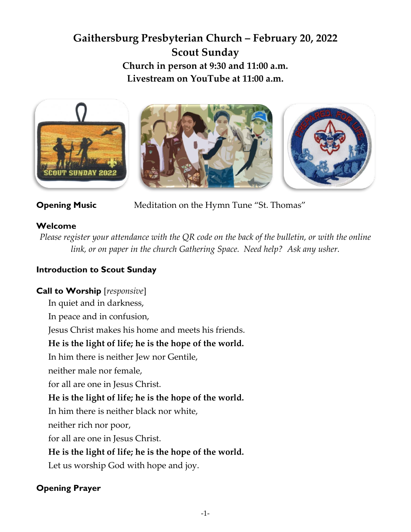# **Gaithersburg Presbyterian Church – February 20, 2022 Scout Sunday Church in person at 9:30 and 11:00 a.m. Livestream on YouTube at 11:00 a.m.**



**Opening Music** Meditation on the Hymn Tune "St. Thomas"

# **Welcome**

*Please register your attendance with the QR code on the back of the bulletin, or with the online link, or on paper in the church Gathering Space. Need help? Ask any usher.*

# **Introduction to Scout Sunday**

# **Call to Worship** [*responsive*]

In quiet and in darkness,

In peace and in confusion,

Jesus Christ makes his home and meets his friends.

# **He is the light of life; he is the hope of the world.**

In him there is neither Jew nor Gentile,

neither male nor female,

for all are one in Jesus Christ.

# **He is the light of life; he is the hope of the world.**

In him there is neither black nor white,

neither rich nor poor,

for all are one in Jesus Christ.

# **He is the light of life; he is the hope of the world.**

Let us worship God with hope and joy.

# **Opening Prayer**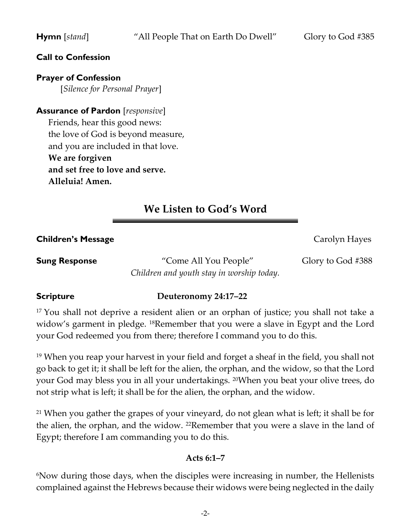#### **Call to Confession**

**Prayer of Confession** 

[*Silence for Personal Prayer*]

**Assurance of Pardon** [*responsive*] Friends, hear this good news: the love of God is beyond measure, and you are included in that love. **We are forgiven and set free to love and serve. Alleluia! Amen.**

# **We Listen to God's Word**

**Children's Message Children's Message Carolyn Hayes** 

**Sung Response** "Come All You People" Glory to God #388 *Children and youth stay in worship today.*

#### **Scripture Deuteronomy 24:17–22**

<sup>17</sup> You shall not deprive a resident alien or an orphan of justice; you shall not take a widow's garment in pledge. 18Remember that you were a slave in Egypt and the Lord your God redeemed you from there; therefore I command you to do this.

<sup>19</sup> When you reap your harvest in your field and forget a sheaf in the field, you shall not go back to get it; it shall be left for the alien, the orphan, and the widow, so that the Lord your God may bless you in all your undertakings. 20When you beat your olive trees, do not strip what is left; it shall be for the alien, the orphan, and the widow.

<sup>21</sup> When you gather the grapes of your vineyard, do not glean what is left; it shall be for the alien, the orphan, and the widow. <sup>22</sup>Remember that you were a slave in the land of Egypt; therefore I am commanding you to do this.

#### **Acts 6:1–7**

<sup>6</sup>Now during those days, when the disciples were increasing in number, the Hellenists complained against the Hebrews because their widows were being neglected in the daily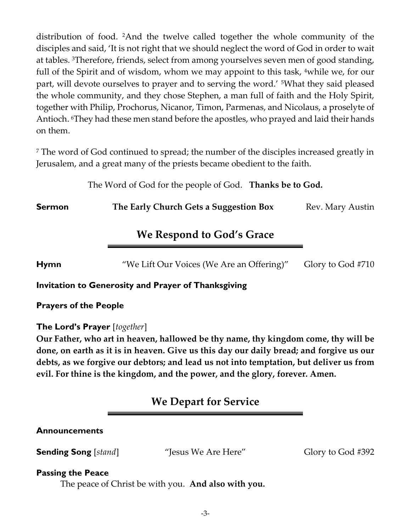distribution of food. 2And the twelve called together the whole community of the disciples and said, 'It is not right that we should neglect the word of God in order to wait at tables. 3Therefore, friends, select from among yourselves seven men of good standing, full of the Spirit and of wisdom, whom we may appoint to this task, <sup>4</sup>while we, for our part, will devote ourselves to prayer and to serving the word.' 5What they said pleased the whole community, and they chose Stephen, a man full of faith and the Holy Spirit, together with Philip, Prochorus, Nicanor, Timon, Parmenas, and Nicolaus, a proselyte of Antioch. 6They had these men stand before the apostles, who prayed and laid their hands on them.

<sup>7</sup> The word of God continued to spread; the number of the disciples increased greatly in Jerusalem, and a great many of the priests became obedient to the faith.

The Word of God for the people of God. **Thanks be to God.**

**Sermon The Early Church Gets a Suggestion Box** Rev. Mary Austin

# **We Respond to God's Grace**

**Hymn** "We Lift Our Voices (We Are an Offering)" Glory to God #710

#### **Invitation to Generosity and Prayer of Thanksgiving**

**Prayers of the People** 

#### **The Lord's Prayer** [*together*]

**Our Father, who art in heaven, hallowed be thy name, thy kingdom come, thy will be done, on earth as it is in heaven. Give us this day our daily bread; and forgive us our debts, as we forgive our debtors; and lead us not into temptation, but deliver us from evil. For thine is the kingdom, and the power, and the glory, forever. Amen.**

# **We Depart for Service**

# **Announcements**

**Sending Song** [*stand*] "Jesus We Are Here" Glory to God #392

#### **Passing the Peace**

The peace of Christ be with you. **And also with you.**